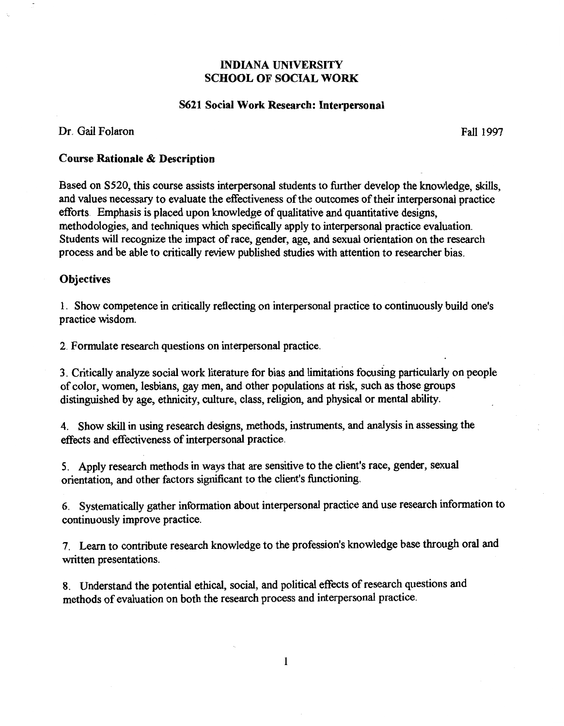# INDIANA UNIVERSITY SCHOOL OF SOCIAL WORK

#### S621 Social Work Research: Interpersonal

## Dr. Gail Polaron

Fall 1997

## Course Rationale & Description

Based on S520, this course assists interpersonal students to further develop the knowledge, skills, and values necessary to evaluate the effectiveness of the outcomes of their interpersonal practice efforts. Emphasis is placed upon knowledge of qualitative and quantitative designs, methodologies, and techniques which specifically apply to interpersonal practice evaluation. Students will recognize the impact of race, gender, age, and sexual orientation on the research process and be able to critically review published studies with attention to researcher bias.

### **Objectives**

1. Show competence in critically reflecting on interpersonal practice to continuously build one's practice wisdom.

2. Formulate research questions on interpersonal practice.

3. Critically analyze social work literature for bias and limitations focusing particularly on people of color, women, lesbians, gay men, and other populations at risk, such as those groups distinguished by age, ethnicity, culture, class, religion, and physical or mental ability.

4. Show skill in using research designs, methods, instruments, and analysis in assessing the effects and effectiveness of interpersonal practice.

5. Apply research methods in ways that are sensitive to the client's race, gender, sexual orientation, and other factors significant to the client's functioning.

6. Systematically gather information about interpersonal practice and use research information to continuously improve practice.

7. Learn to contribute research knowledge to the profession's knowledge base through oral and written presentations.

8. Understand the potential ethical, social, and political effects of research questions and methods of evaluation on both the research process and interpersonal practice.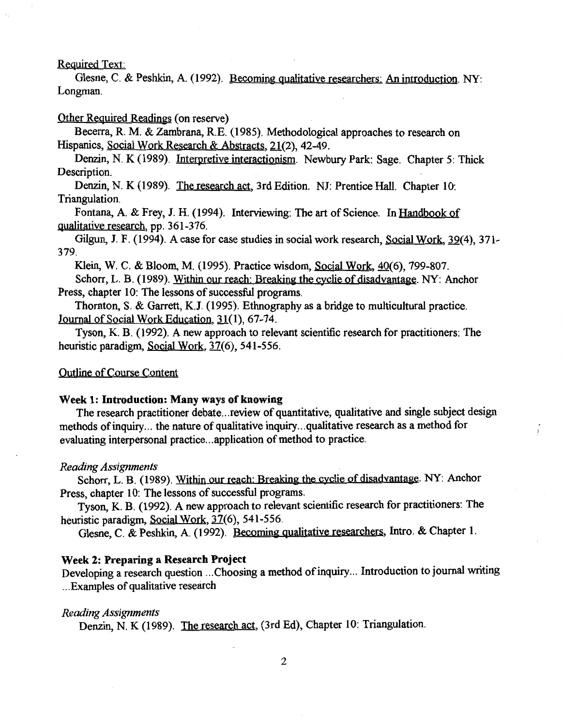### Required Text:

Glesne, C. & Peshkin, A. (I992). Becoming qualitative researchers: An introduction. NY: Longman.

### Other Required Readings (on reserve)

Becerra, R. M. & Zambrana, R.E. (I985). Methodological approaches to research on Hispanics, Social Work Research & Abstracts, 21(2), 42-49.

Denzin, N. K (1989). Interpretive interactionism. Newbury Park: Sage. Chapter 5: Thick Description.

Denzin, N. K (I989). The research act, 3rd Edition. NJ: Prentice Hall. Chapter 10: Triangulation.

Fontana, A. & Frey, J. H. (1994). Interviewing: The art of Science. In Handbook of qualitative research, pp. 361-376.

Gilgun, J. F. (1994). A case for case studies in social work research, Social Work, 39(4), 371-379.

Klein, W. C. & Bloom, M. (I995). Practice wisdom, Social Work, 40(6), 799-807.

Schorr, L. B. (1989). Within our reach: Breaking the cyclie of disadvantage. NY: Anchor Press, chapter 10: The lessons of successful programs.

Thornton, S. & Garrett, K.J. (I995). Ethnography as a bridge to multicultural practice. Journal of Social Work Education, 31(1), 67-74.

Tyson, K. B. (1992). A new approach to relevant scientific research for practitioners: The heuristic paradigm, Social Work, 37(6), 541-556.

### Outline of Course Content

#### Week 1: Introduction: Many ways of knowing

The research practitioner debate... review of quantitative, qualitative and single subject design methods of inquiry ... the nature of qualitative inquiry ... qualitative research as a method for evaluating interpersonal practice ... application of method to practice.

#### *Reading Assignments*

Schorr, L. B. (1989). Within our reach: Breaking the cyclie of disadvantage. NY: Anchor Press, chapter 10: The lessons of successful programs.

Tyson, K. B. (1992). A new approach to relevant scientific research for practitioners: The heuristic paradigm, Social Work, 37(6), 541-556.

Glesne, C. & Peshkin, A. (I992). Becoming qualitative researchers, Intro. & Chapter I.

#### Week 2: Preparing a Research Project

Developing a research question ... Choosing a method of inquiry ... Introduction to journal writing ... Examples of qualitative research

#### *Reading Assignments*

Denzin, N. K (1989). The research act, (3rd Ed), Chapter 10: Triangulation.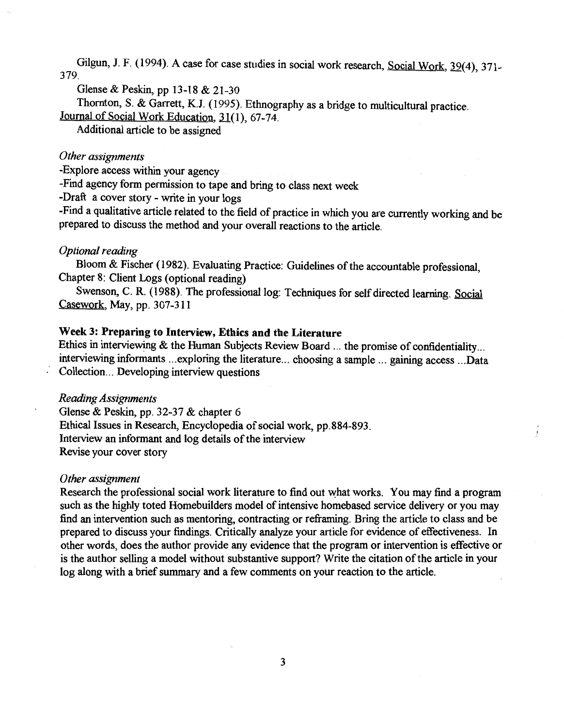Gilgun, J. F. (1994). A case for case studies in social work research, Social Work, 39(4), 371-379.

Glense & Peskin, pp 13-18 & 21-30

Thornton, S. & Garrett, K.J. (1995). Ethnography as a bridge to multicultural practice.

Journal of Social Work Education, 31(1), 67-74.

Additional article to be assigned

## *Other assignments*

-Explore access within your agency

-Find agency form permission to tape and bring to class next week

-Draft a cover story - write in your logs

-Find a qualitative article related to the field of practice in which you are currently working and be prepared to discuss the method and your overall reactions to the article.

### *Optional reading*

Bloom & Fischer (1982). Evaluating Practice: Guidelines of the accountable professional, Chapter 8: Client Logs (optional reading)

Swenson, C. R. (1988). The professional log: Techniques for self directed learning. Social Casework, May, pp. 307-311

### Week 3: Preparing to Interview, Ethics and the Literature

Ethics in interviewing & the Human Subjects Review Board ... the promise of confidentiality ... interviewing informants ... exploring the literature ... choosing a sample ... gaining access ... Data Collection ... Developing interview questions

#### *Reading Assignments*

Glense & Peskin, pp. 32-37 & chapter 6 Ethical Issues in Research, Encyclopedia of social work, pp.884-893. Interview an informant and log details of the interview Revise your cover story

#### *Other assignment*

Research the professional social work literature to find out what works. You may find a program such as the highly toted Homebuilders model of intensive homebased service delivery or you may find an intervention such as mentoring, contracting or refrarning. Bring the article to class and be prepared to discuss your findings. Critically analyze your article for evidence of effectiveness. In other words, does the author provide any evidence that the program or intervention is effective or is the author selling a model without substantive support? Write the citation of the article in your log along with a brief summary and a few comments on your reaction to the article.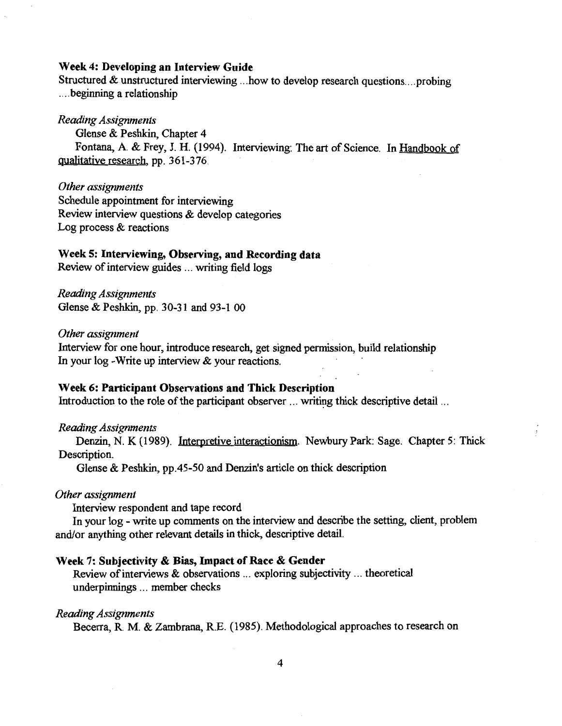### Week 4: Developing an Interview Guide

Structured & unstructured interviewing ... how to develop research questions .... probing .... beginning a relationship

## *Reading Assignments*

Glense & Peshkin, Chapter 4 Fontana, A. & Frey, J. H. (1994). Interviewing: The art of Science. In Handbook of qualitative research, pp. 361-376.

*Other assignments*  Schedule appointment for interviewing Review interview questions & develop categories Log process & reactions

## Week 5: Interviewing, Observing, and Recording data

Review of interview guides ... writing field logs

*Reading Assignments*  Glense & Peshkin, pp. 30-31 and 93-1 00

#### *Other assignment*

Interview for one hour, introduce research, get signed permission, build relationship In your log -Write up interview & your reactions.

### Week 6: Participant Observations and Thick Description

Introduction to the role of the participant observer  $\ldots$  writing thick descriptive detail  $\ldots$ 

#### *Reading Assignments*

Denzin, N. K (1989). Interpretive interactionism. Newbury Park: Sage. Chapter 5: Thick Description.

Glense & Peshkin, pp.45-50 and Denzin's article on thick description

#### *Other assignment*

Interview respondent and tape record

In your log - write up comments on the interview and describe the setting, client, problem and/or anything other relevant details in thick, descriptive detail.

#### Week 7: Subjectivity & Bias, Impact of Race & Gender

Review of interviews & observations ... exploring subjectivity ... theoretical underpinnings ... member checks

#### *Reading Assignments*

Becerra, R. M. & Zambrana, R.E. (1985). Methodological approaches to research on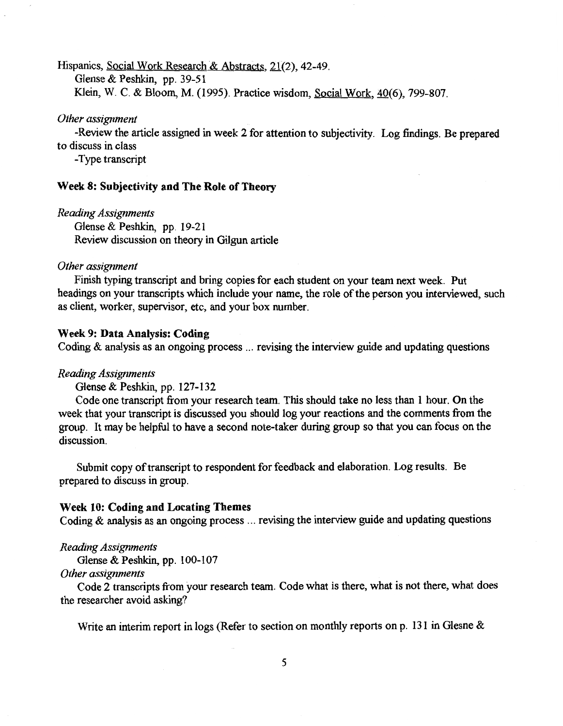Hispanics, Social Work Research & Abstracts, 21(2), 42-49.

Glense & Peshkin, pp. 39-51

Klein, W. C. & Bloom, M. (1995). Practice wisdom, Social Work,  $40(6)$ , 799-807.

#### *Other assignment*

-Review the article assigned in week 2 for attention to subjectivity. Log findings. Be prepared to discuss in class

-Type transcript

#### Week 8: Subjectivity and The Role of Theory

*Reading Assignments*  Glense & Peshkin, pp. 19-21 Review discussion on theory in Gilgun article

#### *Other assignment*

Finish typing transcript and bring copies for each student on your team next week. Put headings on your transcripts which include your name, the role of the person you interviewed, such as client, worker, supervisor, etc, and your box number.

## Week 9: Data Analysis: Coding

Coding  $\&$  analysis as an ongoing process  $\ldots$  revising the interview guide and updating questions

#### *Reading Assignments*

Glense & Peshkin, pp. 127-132

Code one transcript from your research team. This should take no less than 1 hour. On the week that your transcript is discussed you should log your reactions and the comments from the group. It may be helpful to have a second note-taker during group so that you can focus on the discussion.

Submit copy of transcript to respondent for feedback and elaboration. Log results. Be prepared to discuss in group.

### Week 10: Coding and Locating Themes

Coding & analysis as an ongoing process ... revising the interview guide and updating questions

#### *Reading Assignments*

Glense & Peshkin, pp. 100-107

*Other assignments* 

Code 2 transcripts from your research team. Code what is there, what is not there, what does the researcher avoid asking?

Write an interim report in logs (Refer to section on monthly reports on p. 131 in Glesne &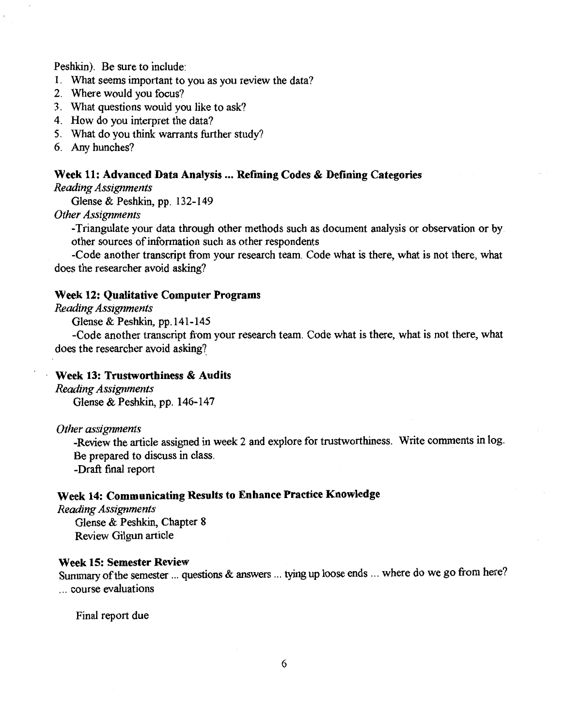Peshkin). Be sure to include:

- 1. What seems important to you as you review the data?
- 2. Where would you focus?
- 3. What questions would you like to ask?
- 4. How do you interpret the data?
- 5. What do you think warrants further study?
- 6. Any hunches?

#### Week 11: Advanced Data Analysis ... Refining Codes & Defining Categories

*Reading Assignments* 

Glense & Peshkin, pp. 132-149

*Other Assignments* 

-Triangulate your data through other methods such as document analysis or observation or by other sources of information such as other respondents

-Code another transcript from your research team. Code what is there, what is not there, what does the researcher avoid asking?

## Week 12: Qualitative Computer Programs

### *Reading Assignments*

Glense & Peshkin, pp.141-145

-Code another transcript from your research team. Code what is there, what is not there, what does the researcher avoid asking?

## Week 13: Trustworthiness & Audits

*Reading Assignments*  Glense & Peshkin, pp. 146-147

*Other assignments* 

-Review the article assigned in week 2 and explore for trustworthiness. Write comments in log. Be prepared to discuss in class.

-Draft final report

# Week 14: Communicating Results to Enhance Practice Knowledge

*Reading Assignments*  Glense & Peshkin, Chapter 8 Review Gilgun article

#### Week 15: Semester Review

Summary of the semester ... questions & answers ... tying up loose ends ... where do we go from here? ... course evaluations

Final report due